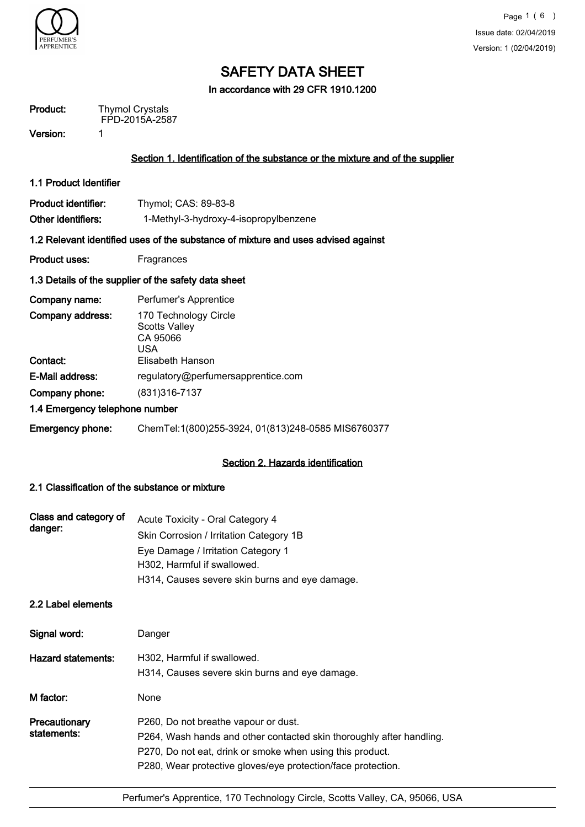

In accordance with 29 CFR 1910.1200

| Product: | <b>Thymol Crystals</b><br>FPD-2015A-2587 |
|----------|------------------------------------------|
|          |                                          |

Version: 1

#### Section 1. Identification of the substance or the mixture and of the supplier

#### 1.1 Product Identifier

| Product identifier: | Thymol; CAS: 89-83-8                  |
|---------------------|---------------------------------------|
| Other identifiers:  | 1-Methyl-3-hydroxy-4-isopropylbenzene |

#### 1.2 Relevant identified uses of the substance of mixture and uses advised against

Product uses: Fragrances

#### 1.3 Details of the supplier of the safety data sheet

| Company name:                  | Perfumer's Apprentice                                            |  |
|--------------------------------|------------------------------------------------------------------|--|
| Company address:               | 170 Technology Circle<br><b>Scotts Valley</b><br>CA 95066<br>USA |  |
| Contact:                       | Elisabeth Hanson                                                 |  |
| E-Mail address:                | regulatory@perfumersapprentice.com                               |  |
| Company phone:                 | (831) 316-7137                                                   |  |
| 1.4 Emergency telephone number |                                                                  |  |
| <b>Emergency phone:</b>        | ChemTel:1(800)255-3924, 01(813)248-0585 MIS6760377               |  |

#### Section 2. Hazards identification

#### 2.1 Classification of the substance or mixture

| Class and category of<br>danger: | Acute Toxicity - Oral Category 4<br>Skin Corrosion / Irritation Category 1B<br>Eye Damage / Irritation Category 1<br>H302, Harmful if swallowed. |
|----------------------------------|--------------------------------------------------------------------------------------------------------------------------------------------------|
|                                  | H314, Causes severe skin burns and eye damage.                                                                                                   |

#### 2.2 Label elements

| Signal word:                 | Danger                                                                                                                                                                                                                                    |
|------------------------------|-------------------------------------------------------------------------------------------------------------------------------------------------------------------------------------------------------------------------------------------|
| <b>Hazard statements:</b>    | H302, Harmful if swallowed.<br>H314, Causes severe skin burns and eye damage.                                                                                                                                                             |
| M factor:                    | None                                                                                                                                                                                                                                      |
| Precautionary<br>statements: | P260, Do not breathe vapour or dust.<br>P264, Wash hands and other contacted skin thoroughly after handling.<br>P270, Do not eat, drink or smoke when using this product.<br>P280, Wear protective gloves/eye protection/face protection. |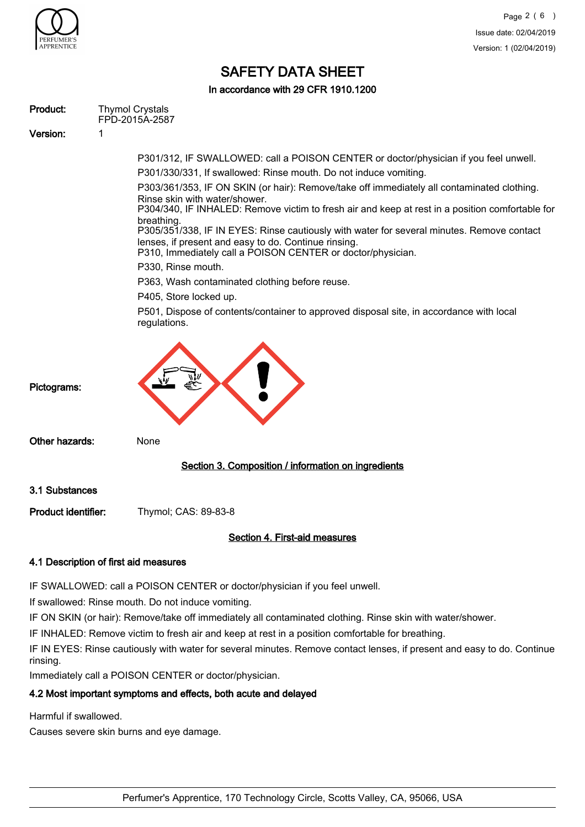

In accordance with 29 CFR 1910.1200

#### Thymol Crystals Product:

FPD-2015A-2587

Version: 1

P301/312, IF SWALLOWED: call a POISON CENTER or doctor/physician if you feel unwell.

P301/330/331, If swallowed: Rinse mouth. Do not induce vomiting.

P303/361/353, IF ON SKIN (or hair): Remove/take off immediately all contaminated clothing. Rinse skin with water/shower.

P304/340, IF INHALED: Remove victim to fresh air and keep at rest in a position comfortable for breathing.

P305/351/338, IF IN EYES: Rinse cautiously with water for several minutes. Remove contact lenses, if present and easy to do. Continue rinsing.

P310, Immediately call a POISON CENTER or doctor/physician.

P330, Rinse mouth.

P363, Wash contaminated clothing before reuse.

P405, Store locked up.

P501, Dispose of contents/container to approved disposal site, in accordance with local regulations.



Other hazards: None

#### Section 3. Composition / information on ingredients

3.1 Substances

Product identifier: Thymol; CAS: 89-83-8

#### Section 4. First-aid measures

#### 4.1 Description of first aid measures

IF SWALLOWED: call a POISON CENTER or doctor/physician if you feel unwell.

If swallowed: Rinse mouth. Do not induce vomiting.

IF ON SKIN (or hair): Remove/take off immediately all contaminated clothing. Rinse skin with water/shower.

IF INHALED: Remove victim to fresh air and keep at rest in a position comfortable for breathing.

IF IN EYES: Rinse cautiously with water for several minutes. Remove contact lenses, if present and easy to do. Continue rinsing.

Immediately call a POISON CENTER or doctor/physician.

## 4.2 Most important symptoms and effects, both acute and delayed

Harmful if swallowed.

Causes severe skin burns and eye damage.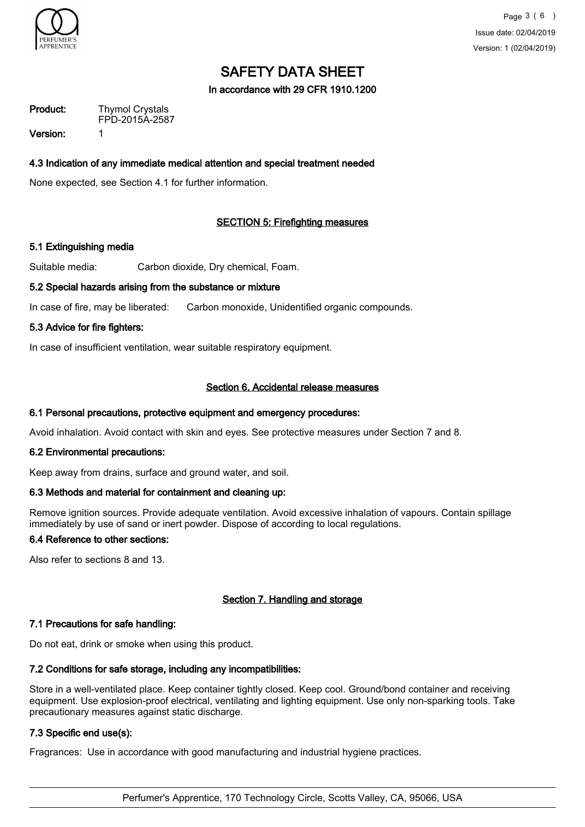

In accordance with 29 CFR 1910.1200

Thymol Crystals FPD-2015A-2587 Product:

Version: 1

4.3 Indication of any immediate medical attention and special treatment needed

None expected, see Section 4.1 for further information.

#### **SECTION 5: Firefighting measures**

#### 5.1 Extinguishing media

Suitable media: Carbon dioxide, Dry chemical, Foam.

#### 5.2 Special hazards arising from the substance or mixture

In case of fire, may be liberated: Carbon monoxide, Unidentified organic compounds.

#### 5.3 Advice for fire fighters:

In case of insufficient ventilation, wear suitable respiratory equipment.

#### Section 6. Accidental release measures

#### 6.1 Personal precautions, protective equipment and emergency procedures:

Avoid inhalation. Avoid contact with skin and eyes. See protective measures under Section 7 and 8.

#### 6.2 Environmental precautions:

Keep away from drains, surface and ground water, and soil.

#### 6.3 Methods and material for containment and cleaning up:

Remove ignition sources. Provide adequate ventilation. Avoid excessive inhalation of vapours. Contain spillage immediately by use of sand or inert powder. Dispose of according to local regulations.

#### 6.4 Reference to other sections:

Also refer to sections 8 and 13.

#### Section 7. Handling and storage

#### 7.1 Precautions for safe handling:

Do not eat, drink or smoke when using this product.

#### 7.2 Conditions for safe storage, including any incompatibilities:

Store in a well-ventilated place. Keep container tightly closed. Keep cool. Ground/bond container and receiving equipment. Use explosion-proof electrical, ventilating and lighting equipment. Use only non-sparking tools. Take precautionary measures against static discharge.

#### 7.3 Specific end use(s):

Fragrances: Use in accordance with good manufacturing and industrial hygiene practices.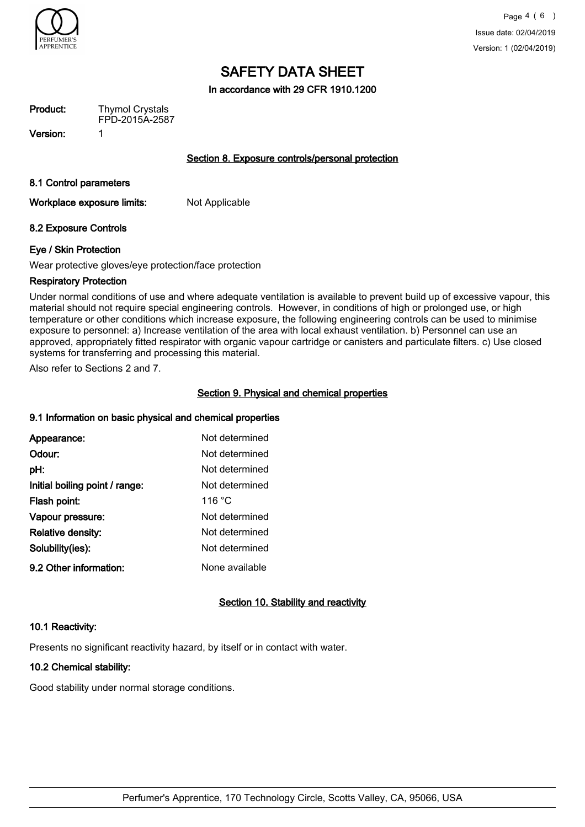

In accordance with 29 CFR 1910.1200

Thymol Crystals FPD-2015A-2587 Product:

Version: 1

Section 8. Exposure controls/personal protection

8.1 Control parameters

Workplace exposure limits: Not Applicable

#### 8.2 Exposure Controls

#### Eye / Skin Protection

Wear protective gloves/eye protection/face protection

#### Respiratory Protection

Under normal conditions of use and where adequate ventilation is available to prevent build up of excessive vapour, this material should not require special engineering controls. However, in conditions of high or prolonged use, or high temperature or other conditions which increase exposure, the following engineering controls can be used to minimise exposure to personnel: a) Increase ventilation of the area with local exhaust ventilation. b) Personnel can use an approved, appropriately fitted respirator with organic vapour cartridge or canisters and particulate filters. c) Use closed systems for transferring and processing this material.

Also refer to Sections 2 and 7.

#### Section 9. Physical and chemical properties

#### 9.1 Information on basic physical and chemical properties

| Appearance:                    | Not determined  |
|--------------------------------|-----------------|
| Odour:                         | Not determined  |
| pH:                            | Not determined  |
| Initial boiling point / range: | Not determined  |
| Flash point:                   | 116 $\degree$ C |
| Vapour pressure:               | Not determined  |
| <b>Relative density:</b>       | Not determined  |
| Solubility(ies):               | Not determined  |
| 9.2 Other information:         | None available  |

#### Section 10. Stability and reactivity

#### 10.1 Reactivity:

Presents no significant reactivity hazard, by itself or in contact with water.

#### 10.2 Chemical stability:

Good stability under normal storage conditions.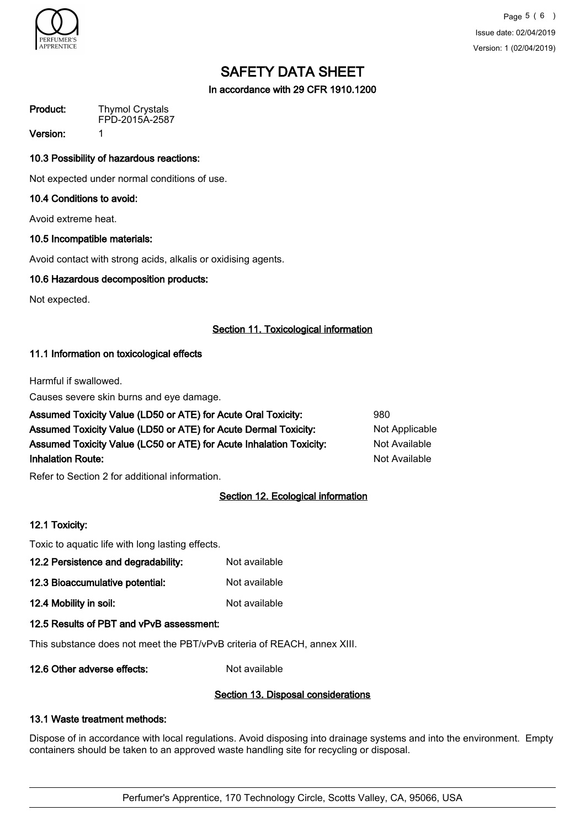

Page 5 ( 6 ) Issue date: 02/04/2019 Version: 1 (02/04/2019)

## SAFETY DATA SHEET

In accordance with 29 CFR 1910.1200

Product:

Thymol Crystals FPD-2015A-2587

Version: 1

10.3 Possibility of hazardous reactions:

Not expected under normal conditions of use.

#### 10.4 Conditions to avoid:

Avoid extreme heat.

#### 10.5 Incompatible materials:

Avoid contact with strong acids, alkalis or oxidising agents.

#### 10.6 Hazardous decomposition products:

Not expected.

#### Section 11. Toxicological information

#### 11.1 Information on toxicological effects

Harmful if swallowed.

Causes severe skin burns and eye damage.

| Assumed Toxicity Value (LD50 or ATE) for Acute Oral Toxicity:       | 980            |
|---------------------------------------------------------------------|----------------|
| Assumed Toxicity Value (LD50 or ATE) for Acute Dermal Toxicity:     | Not Applicable |
| Assumed Toxicity Value (LC50 or ATE) for Acute Inhalation Toxicity: | Not Available  |
| <b>Inhalation Route:</b>                                            | Not Available  |
|                                                                     |                |

Refer to Section 2 for additional information.

#### Section 12. Ecological information

#### 12.1 Toxicity:

Toxic to aquatic life with long lasting effects.

- 12.3 Bioaccumulative potential: Not available
- 12.4 Mobility in soil: Not available

## 12.5 Results of PBT and vPvB assessment:

This substance does not meet the PBT/vPvB criteria of REACH, annex XIII.

12.6 Other adverse effects: Not available

## Section 13. Disposal considerations

## 13.1 Waste treatment methods:

Dispose of in accordance with local regulations. Avoid disposing into drainage systems and into the environment. Empty containers should be taken to an approved waste handling site for recycling or disposal.